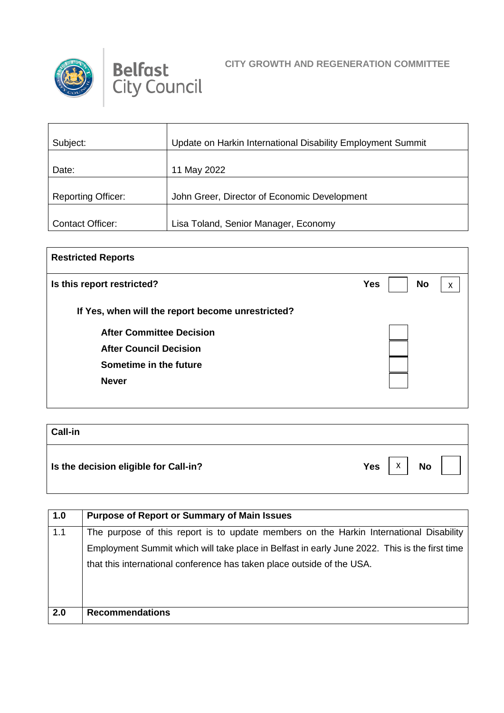



 $\mathbf \tau$ 

## **CITY GROWTH AND REGENERATION COMMITTEE**

| Subject:                  | Update on Harkin International Disability Employment Summit |
|---------------------------|-------------------------------------------------------------|
| Date:                     | 11 May 2022                                                 |
| <b>Reporting Officer:</b> | John Greer, Director of Economic Development                |
| <b>Contact Officer:</b>   | Lisa Toland, Senior Manager, Economy                        |

| <b>Restricted Reports</b>                         |                              |
|---------------------------------------------------|------------------------------|
| Is this report restricted?                        | <b>No</b><br><b>Yes</b><br>x |
| If Yes, when will the report become unrestricted? |                              |
| <b>After Committee Decision</b>                   |                              |
| <b>After Council Decision</b>                     |                              |
| Sometime in the future                            |                              |
| <b>Never</b>                                      |                              |
|                                                   |                              |

| <b>Call-in</b>                        |                       |
|---------------------------------------|-----------------------|
| Is the decision eligible for Call-in? | Χ<br><b>No</b><br>Yes |

| 1.0 | <b>Purpose of Report or Summary of Main Issues</b>                                            |
|-----|-----------------------------------------------------------------------------------------------|
| 1.1 | The purpose of this report is to update members on the Harkin International Disability        |
|     | Employment Summit which will take place in Belfast in early June 2022. This is the first time |
|     | that this international conference has taken place outside of the USA.                        |
|     |                                                                                               |
|     |                                                                                               |
| 2.0 | <b>Recommendations</b>                                                                        |
|     |                                                                                               |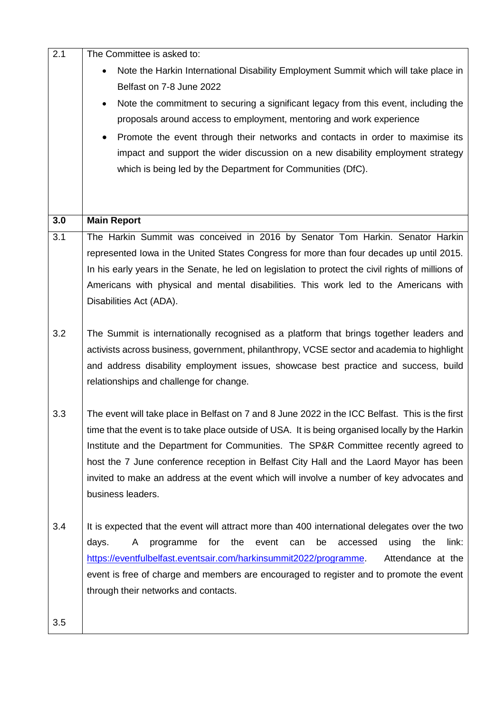| 2.1 | The Committee is asked to:                                                                         |
|-----|----------------------------------------------------------------------------------------------------|
|     | Note the Harkin International Disability Employment Summit which will take place in                |
|     | Belfast on 7-8 June 2022                                                                           |
|     | Note the commitment to securing a significant legacy from this event, including the<br>$\bullet$   |
|     | proposals around access to employment, mentoring and work experience                               |
|     | Promote the event through their networks and contacts in order to maximise its                     |
|     | impact and support the wider discussion on a new disability employment strategy                    |
|     | which is being led by the Department for Communities (DfC).                                        |
|     |                                                                                                    |
|     |                                                                                                    |
| 3.0 | <b>Main Report</b>                                                                                 |
| 3.1 | The Harkin Summit was conceived in 2016 by Senator Tom Harkin. Senator Harkin                      |
|     | represented Iowa in the United States Congress for more than four decades up until 2015.           |
|     | In his early years in the Senate, he led on legislation to protect the civil rights of millions of |
|     | Americans with physical and mental disabilities. This work led to the Americans with               |
|     | Disabilities Act (ADA).                                                                            |
| 3.2 | The Summit is internationally recognised as a platform that brings together leaders and            |
|     | activists across business, government, philanthropy, VCSE sector and academia to highlight         |
|     | and address disability employment issues, showcase best practice and success, build                |
|     | relationships and challenge for change.                                                            |
|     |                                                                                                    |
| 3.3 | The event will take place in Belfast on 7 and 8 June 2022 in the ICC Belfast. This is the first    |
|     | time that the event is to take place outside of USA. It is being organised locally by the Harkin   |
|     | Institute and the Department for Communities. The SP&R Committee recently agreed to                |
|     | host the 7 June conference reception in Belfast City Hall and the Laord Mayor has been             |
|     | invited to make an address at the event which will involve a number of key advocates and           |
|     | business leaders.                                                                                  |
| 3.4 | It is expected that the event will attract more than 400 international delegates over the two      |
|     | for<br>the<br>event<br>be<br>the<br>link:<br>days.<br>A<br>programme<br>can<br>accessed<br>using   |
|     | https://eventfulbelfast.eventsair.com/harkinsummit2022/programme.<br>Attendance at the             |
|     | event is free of charge and members are encouraged to register and to promote the event            |
|     | through their networks and contacts.                                                               |
|     |                                                                                                    |
| 3.5 |                                                                                                    |